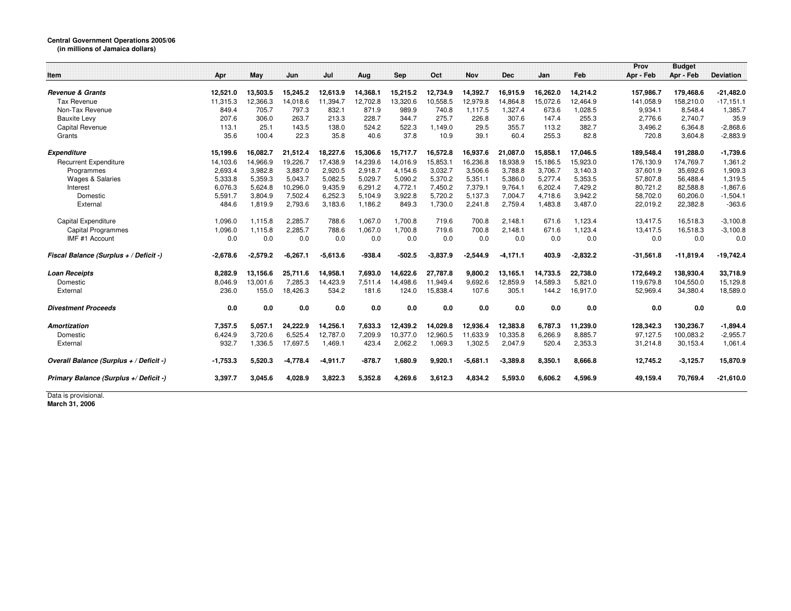## **Central Government Operations 2005/06 (in millions of Jamaica dollars)**

|                                         |            |            |            |            |          |            |            |            |            |          |            | Prov        | <b>Budget</b> |                  |
|-----------------------------------------|------------|------------|------------|------------|----------|------------|------------|------------|------------|----------|------------|-------------|---------------|------------------|
| Item                                    | Apr        | May        | Jun        | Jul        | Aug      | <b>Sep</b> | Oct        | <b>Nov</b> | <b>Dec</b> | Jan      | Feb        | Apr - Feb   | Apr - Feb     | <b>Deviation</b> |
|                                         |            |            |            |            |          |            |            |            |            |          |            |             |               |                  |
| <b>Revenue &amp; Grants</b>             | 12,521.0   | 13,503.5   | 15,245.2   | 12.613.9   | 14.368.1 | 15,215.2   | 12,734.9   | 14,392.7   | 16.915.9   | 16.262.0 | 14.214.2   | 157.986.7   | 179.468.6     | $-21,482.0$      |
| Tax Revenue                             | 11,315.3   | 12,366.3   | 14,018.6   | 11,394.7   | 12,702.8 | 13,320.6   | 10,558.5   | 12,979.8   | 14,864.8   | 15,072.6 | 12,464.9   | 141,058.9   | 158,210.0     | $-17,151.1$      |
| Non-Tax Revenue                         | 849.4      | 705.7      | 797.3      | 832.1      | 871.9    | 989.9      | 740.8      | 1.117.5    | 1,327.4    | 673.6    | 1,028.5    | 9,934.1     | 8,548.4       | 1,385.7          |
| <b>Bauxite Levy</b>                     | 207.6      | 306.0      | 263.7      | 213.3      | 228.7    | 344.7      | 275.7      | 226.8      | 307.6      | 147.4    | 255.3      | 2.776.6     | 2,740.7       | 35.9             |
| Capital Revenue                         | 113.1      | 25.1       | 143.5      | 138.0      | 524.2    | 522.3      | 1.149.0    | 29.5       | 355.7      | 113.2    | 382.7      | 3.496.2     | 6.364.8       | $-2,868.6$       |
| Grants                                  | 35.6       | 100.4      | 22.3       | 35.8       | 40.6     | 37.8       | 10.9       | 39.1       | 60.4       | 255.3    | 82.8       | 720.8       | 3,604.8       | $-2,883.9$       |
| <b>Expenditure</b>                      | 15,199.6   | 16,082.7   | 21,512.4   | 18,227.6   | 15,306.6 | 15,717.7   | 16,572.8   | 16,937.6   | 21,087.0   | 15,858.1 | 17,046.5   | 189,548.4   | 191,288.0     | $-1,739.6$       |
| <b>Recurrent Expenditure</b>            | 14,103.6   | 14,966.9   | 19,226.7   | 17,438.9   | 14,239.6 | 14,016.9   | 15,853.1   | 16,236.8   | 18,938.9   | 15,186.5 | 15,923.0   | 176,130.9   | 174,769.7     | 1,361.2          |
| Programmes                              | 2,693.4    | 3.982.8    | 3.887.0    | 2,920.5    | 2.918.7  | 4,154.6    | 3,032.7    | 3.506.6    | 3.788.8    | 3.706.7  | 3,140.3    | 37,601.9    | 35,692.6      | 1,909.3          |
| <b>Wages &amp; Salaries</b>             | 5,333.8    | 5,359.3    | 5.043.7    | 5.082.5    | 5.029.7  | 5,090.2    | 5,370.2    | 5,351.1    | 5.386.0    | 5.277.4  | 5,353.5    | 57,807.8    | 56,488.4      | 1,319.5          |
| Interest                                | 6,076.3    | 5,624.8    | 10.296.0   | 9.435.9    | 6,291.2  | 4,772.1    | 7,450.2    | 7,379.1    | 9,764.1    | 6,202.4  | 7,429.2    | 80,721.2    | 82,588.8      | $-1,867.6$       |
| Domestic                                | 5,591.7    | 3,804.9    | 7,502.4    | 6,252.3    | 5,104.9  | 3,922.8    | 5,720.2    | 5,137.3    | 7,004.7    | 4,718.6  | 3,942.2    | 58,702.0    | 60,206.0      | $-1,504.1$       |
| External                                | 484.6      | 1,819.9    | 2,793.6    | 3,183.6    | 1,186.2  | 849.3      | 1,730.0    | 2,241.8    | 2,759.4    | 1,483.8  | 3,487.0    | 22,019.2    | 22,382.8      | $-363.6$         |
| Capital Expenditure                     | 1,096.0    | 1,115.8    | 2,285.7    | 788.6      | 1,067.0  | 1,700.8    | 719.6      | 700.8      | 2,148.1    | 671.6    | 1,123.4    | 13,417.5    | 16,518.3      | $-3,100.8$       |
| <b>Capital Programmes</b>               | 1,096.0    | 1.115.8    | 2.285.7    | 788.6      | 1.067.0  | 1.700.8    | 719.6      | 700.8      | 2,148.1    | 671.6    | 1,123.4    | 13,417.5    | 16,518.3      | $-3,100.8$       |
| IMF #1 Account                          | 0.0        | 0.0        | 0.0        | 0.0        | 0.0      | 0.0        | 0.0        | 0.0        | 0.0        | 0.0      | 0.0        | 0.0         | 0.0           | 0.0              |
| Fiscal Balance (Surplus + / Deficit -)  | $-2,678.6$ | $-2,579.2$ | $-6,267.1$ | $-5,613.6$ | $-938.4$ | $-502.5$   | $-3,837.9$ | $-2,544.9$ | $-4,171.1$ | 403.9    | $-2,832.2$ | $-31,561.8$ | $-11,819.4$   | $-19,742.4$      |
| <b>Loan Receipts</b>                    | 8,282.9    | 13,156.6   | 25,711.6   | 14,958.1   | 7,693.0  | 14,622.6   | 27,787.8   | 9,800.2    | 13,165.1   | 14,733.5 | 22,738.0   | 172,649.2   | 138,930.4     | 33,718.9         |
| Domestic                                | 8,046.9    | 13,001.6   | 7,285.3    | 14,423.9   | 7,511.4  | 14,498.6   | 11,949.4   | 9,692.6    | 12,859.9   | 14,589.3 | 5,821.0    | 119,679.8   | 104,550.0     | 15,129.8         |
| External                                | 236.0      | 155.0      | 18,426.3   | 534.2      | 181.6    | 124.0      | 15,838.4   | 107.6      | 305.1      | 144.2    | 16,917.0   | 52,969.4    | 34,380.4      | 18,589.0         |
| <b>Divestment Proceeds</b>              | 0.0        | 0.0        | 0.0        | 0.0        | 0.0      | 0.0        | 0.0        | 0.0        | 0.0        | 0.0      | 0.0        | 0.0         | 0.0           | 0.0              |
| <b>Amortization</b>                     | 7,357.5    | 5,057.1    | 24,222.9   | 14,256.1   | 7,633.3  | 12,439.2   | 14,029.8   | 12,936.4   | 12,383.8   | 6,787.3  | 11,239.0   | 128,342.3   | 130,236.7     | $-1,894.4$       |
| Domestic                                | 6,424.9    | 3,720.6    | 6,525.4    | 12,787.0   | 7,209.9  | 10,377.0   | 12,960.5   | 11,633.9   | 10,335.8   | 6,266.9  | 8,885.7    | 97,127.5    | 100,083.2     | $-2,955.7$       |
| External                                | 932.7      | 1,336.5    | 17,697.5   | 1,469.1    | 423.4    | 2,062.2    | 1,069.3    | 1,302.5    | 2,047.9    | 520.4    | 2,353.3    | 31,214.8    | 30,153.4      | 1,061.4          |
| Overall Balance (Surplus + / Deficit -) | $-1,753.3$ | 5,520.3    | $-4,778.4$ | $-4,911.7$ | $-878.7$ | 1,680.9    | 9,920.1    | $-5,681.1$ | $-3,389.8$ | 8,350.1  | 8,666.8    | 12,745.2    | $-3,125.7$    | 15,870.9         |
| Primary Balance (Surplus +/ Deficit -)  | 3.397.7    | 3.045.6    | 4.028.9    | 3,822.3    | 5,352.8  | 4.269.6    | 3,612.3    | 4.834.2    | 5,593.0    | 6.606.2  | 4,596.9    | 49.159.4    | 70.769.4      | $-21,610.0$      |

Data is provisional. **March 31, 2006**